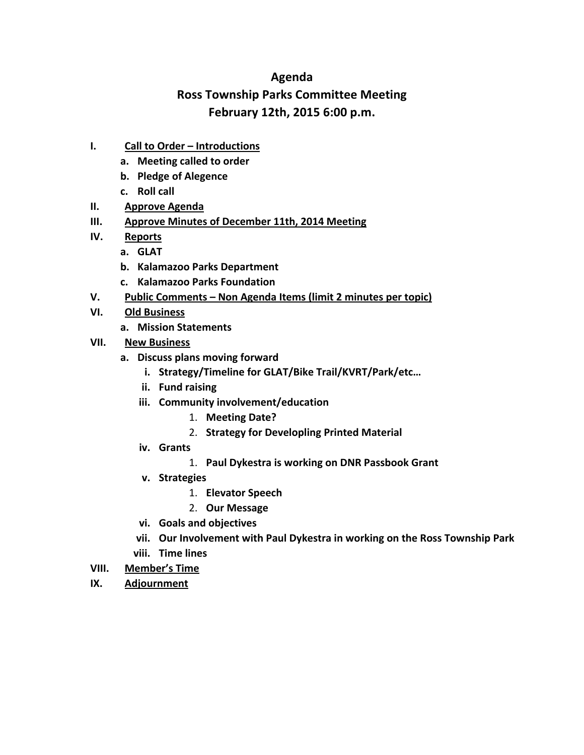# **Agenda**

# **Ross Township Parks Committee Meeting February 12th, 2015 6:00 p.m.**

- **I.** Call to Order Introductions
	- **a. Meeting called to order**
	- **b. Pledge of Alegence**
	- **c. Roll call**
- **II. Approve Agenda**
- **III. Approve Minutes of December 11th, 2014 Meeting**
- **IV. Reports**
	- **a. GLAT**
	- **b. Kalamazoo Parks Department**
	- **c. Kalamazoo Parks Foundation**
- V. Public Comments Non Agenda Items (limit 2 minutes per topic)
- **VI. Old Business**
	- **a. Mission Statements**
- **VII. New Business**
	- **a. Discuss plans moving forward**
		- **i. Strategy/Timeline for GLAT/Bike Trail/KVRT/Park/etc…**
		- **ii. Fund raising**
		- **iii. Community involvement/education**
			- 1. **Meeting Date?**
			- 2. **Strategy for Developling Printed Material**
		- **iv. Grants**
			- 1. **Paul Dykestra is working on DNR Passbook Grant**
		- **v. Strategies**
			- 1. **Elevator Speech**
			- 2. **Our Message**
		- **vi. Goals and objectives**
		- **vii. Our Involvement with Paul Dykestra in working on the Ross Township Park viii. Time lines**
- **VIII. Member's Time**
- **IX. Adjournment**